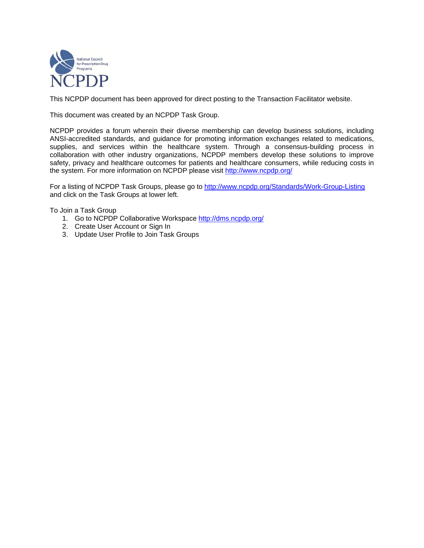

This NCPDP document has been approved for direct posting to the Transaction Facilitator website.

This document was created by an NCPDP Task Group.

NCPDP provides a forum wherein their diverse membership can develop business solutions, including ANSI-accredited standards, and guidance for promoting information exchanges related to medications, supplies, and services within the healthcare system. Through a consensus-building process in collaboration with other industry organizations, NCPDP members develop these solutions to improve safety, privacy and healthcare outcomes for patients and healthcare consumers, while reducing costs in the system. For more information on NCPDP please visit http://www.ncpdp.org/

For a listing of NCPDP Task Groups, please go to http://www.ncpdp.org/Standards/Work-Group-Listing and click on the Task Groups at lower left.

To Join a Task Group

- 1. Go to NCPDP Collaborative Workspace http://dms.ncpdp.org/
- 2. Create User Account or Sign In
- 3. Update User Profile to Join Task Groups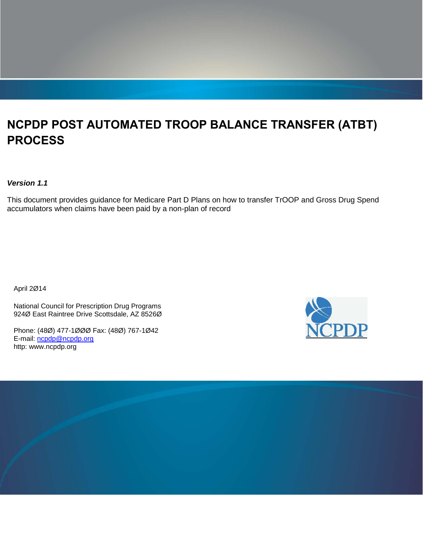# **NCPDP POST AUTOMATED TROOP BALANCE TRANSFER (ATBT) PROCESS**

#### *Version 1.1*

This document provides guidance for Medicare Part D Plans on how to transfer TrOOP and Gross Drug Spend accumulators when claims have been paid by a non-plan of record

April 2Ø14

National Council for Prescription Drug Programs 924Ø East Raintree Drive Scottsdale, AZ 8526Ø

Phone: (48Ø) 477-1ØØØ Fax: (48Ø) 767-1Ø42 E-mail: [ncpdp@ncpdp.org](mailto:ncpdp@ncpdp.org) http: www.ncpdp.org



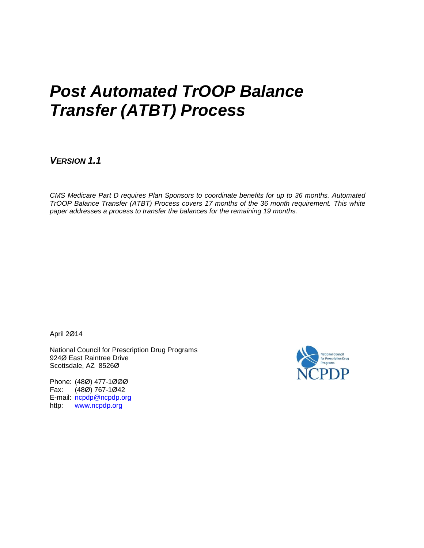# *Post Automated TrOOP Balance Transfer (ATBT) Process*

*VERSION 1.1*

*CMS Medicare Part D requires Plan Sponsors to coordinate benefits for up to 36 months. Automated TrOOP Balance Transfer (ATBT) Process covers 17 months of the 36 month requirement. This white paper addresses a process to transfer the balances for the remaining 19 months.*

April 2Ø14

National Council for Prescription Drug Programs 924Ø East Raintree Drive Scottsdale, AZ 8526Ø

Phone: (48Ø) 477-1ØØØ Fax: (48Ø) 767-1Ø42 E-mail: ncpdp@ncpdp.org http: [www.ncpdp.org](http://www.ncpdp.org/)

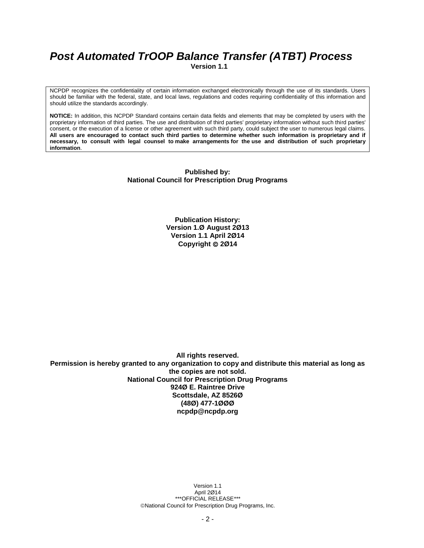#### *Post Automated TrOOP Balance Transfer (ATBT) Process*  **Version 1.1**

NCPDP recognizes the confidentiality of certain information exchanged electronically through the use of its standards. Users should be familiar with the federal, state, and local laws, regulations and codes requiring confidentiality of this information and should utilize the standards accordingly.

**NOTICE:** In addition, this NCPDP Standard contains certain data fields and elements that may be completed by users with the proprietary information of third parties. The use and distribution of third parties' proprietary information without such third parties' consent, or the execution of a license or other agreement with such third party, could subject the user to numerous legal claims. **All users are encouraged to contact such third parties to determine whether such information is proprietary and if necessary, to consult with legal counsel to make arrangements for the use and distribution of such proprietary information**.

#### **Published by: National Council for Prescription Drug Programs**

**Publication History: Version 1.Ø August 2Ø13 Version 1.1 April 2Ø14 Copyright 2Ø14**

**All rights reserved. Permission is hereby granted to any organization to copy and distribute this material as long as the copies are not sold. National Council for Prescription Drug Programs 924Ø E. Raintree Drive Scottsdale, AZ 8526Ø (48Ø) 477-1ØØØ ncpdp@ncpdp.org**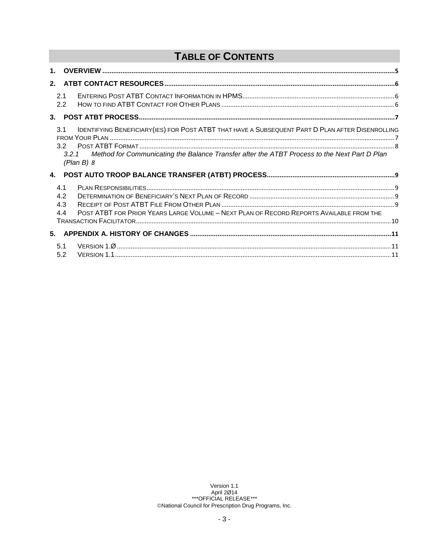# **TABLE OF CONTENTS**

| $\mathbf 1$ |                          |                                                                                                                                                                                                                        |  |
|-------------|--------------------------|------------------------------------------------------------------------------------------------------------------------------------------------------------------------------------------------------------------------|--|
|             |                          |                                                                                                                                                                                                                        |  |
|             | 2.1<br>2.2               |                                                                                                                                                                                                                        |  |
|             |                          |                                                                                                                                                                                                                        |  |
|             | 3.1<br>3.2               | IDENTIFYING BENEFICIARY(IES) FOR POST ATBT THAT HAVE A SUBSEQUENT PART D PLAN AFTER DISENROLLING<br>3.2.1 Method for Communicating the Balance Transfer after the ATBT Process to the Next Part D Plan<br>$(Plan B)$ 8 |  |
|             |                          |                                                                                                                                                                                                                        |  |
|             | 4.1<br>4.2<br>4.3<br>4.4 | POST ATBT FOR PRIOR YEARS LARGE VOLUME - NEXT PLAN OF RECORD REPORTS AVAILABLE FROM THE                                                                                                                                |  |
|             |                          |                                                                                                                                                                                                                        |  |
|             | 5.1<br>5.2               |                                                                                                                                                                                                                        |  |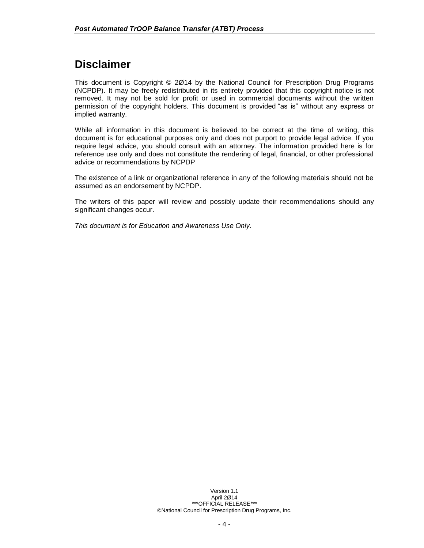### **Disclaimer**

This document is Copyright © 2Ø14 by the National Council for Prescription Drug Programs (NCPDP). It may be freely redistributed in its entirety provided that this copyright notice is not removed. It may not be sold for profit or used in commercial documents without the written permission of the copyright holders. This document is provided "as is" without any express or implied warranty.

While all information in this document is believed to be correct at the time of writing, this document is for educational purposes only and does not purport to provide legal advice. If you require legal advice, you should consult with an attorney. The information provided here is for reference use only and does not constitute the rendering of legal, financial, or other professional advice or recommendations by NCPDP

The existence of a link or organizational reference in any of the following materials should not be assumed as an endorsement by NCPDP.

The writers of this paper will review and possibly update their recommendations should any significant changes occur.

*This document is for Education and Awareness Use Only.*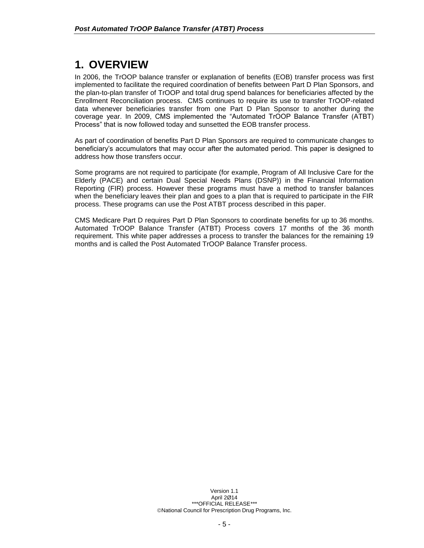# <span id="page-6-0"></span>**1. OVERVIEW**

In 2006, the TrOOP balance transfer or explanation of benefits (EOB) transfer process was first implemented to facilitate the required coordination of benefits between Part D Plan Sponsors, and the plan-to-plan transfer of TrOOP and total drug spend balances for beneficiaries affected by the Enrollment Reconciliation process. CMS continues to require its use to transfer TrOOP-related data whenever beneficiaries transfer from one Part D Plan Sponsor to another during the coverage year. In 2009, CMS implemented the "Automated TrOOP Balance Transfer (ATBT) Process" that is now followed today and sunsetted the EOB transfer process.

As part of coordination of benefits Part D Plan Sponsors are required to communicate changes to beneficiary's accumulators that may occur after the automated period. This paper is designed to address how those transfers occur.

Some programs are not required to participate (for example, Program of All Inclusive Care for the Elderly (PACE) and certain Dual Special Needs Plans (DSNP)) in the Financial Information Reporting (FIR) process. However these programs must have a method to transfer balances when the beneficiary leaves their plan and goes to a plan that is required to participate in the FIR process. These programs can use the Post ATBT process described in this paper.

CMS Medicare Part D requires Part D Plan Sponsors to coordinate benefits for up to 36 months. Automated TrOOP Balance Transfer (ATBT) Process covers 17 months of the 36 month requirement. This white paper addresses a process to transfer the balances for the remaining 19 months and is called the Post Automated TrOOP Balance Transfer process.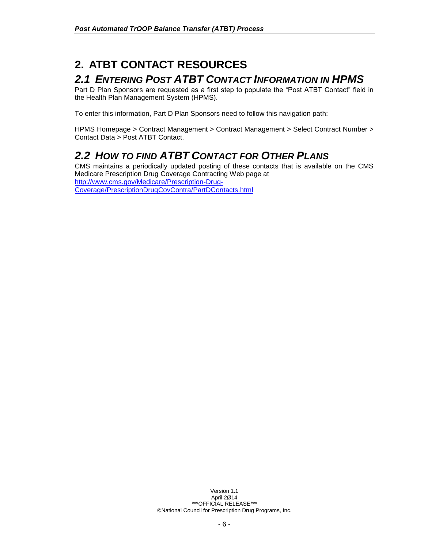# <span id="page-7-0"></span>**2. ATBT CONTACT RESOURCES**

#### <span id="page-7-1"></span>*2.1 ENTERING POST ATBT CONTACT INFORMATION IN HPMS*

Part D Plan Sponsors are requested as a first step to populate the "Post ATBT Contact" field in the Health Plan Management System (HPMS).

To enter this information, Part D Plan Sponsors need to follow this navigation path:

HPMS Homepage > Contract Management > Contract Management > Select Contract Number > Contact Data > Post ATBT Contact.

### <span id="page-7-2"></span>*2.2 HOW TO FIND ATBT CONTACT FOR OTHER PLANS*

CMS maintains a periodically updated posting of these contacts that is available on the CMS Medicare Prescription Drug Coverage Contracting Web page at [http://www.cms.gov/Medicare/Prescription-Drug-](http://www.cms.gov/Medicare/Prescription-Drug-Coverage/PrescriptionDrugCovContra/PartDContacts.html)[Coverage/PrescriptionDrugCovContra/PartDContacts.html](http://www.cms.gov/Medicare/Prescription-Drug-Coverage/PrescriptionDrugCovContra/PartDContacts.html)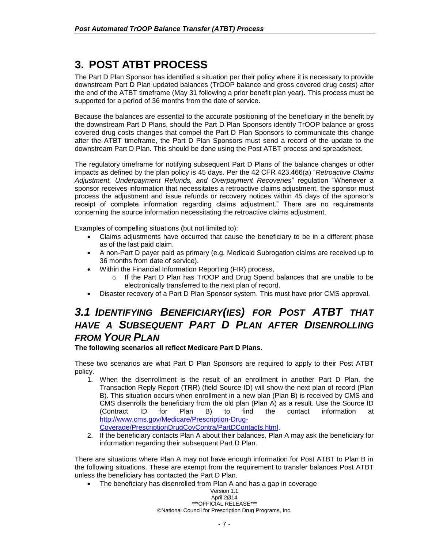# <span id="page-8-0"></span>**3. POST ATBT PROCESS**

The Part D Plan Sponsor has identified a situation per their policy where it is necessary to provide downstream Part D Plan updated balances (TrOOP balance and gross covered drug costs) after the end of the ATBT timeframe (May 31 following a prior benefit plan year). This process must be supported for a period of 36 months from the date of service.

Because the balances are essential to the accurate positioning of the beneficiary in the benefit by the downstream Part D Plans, should the Part D Plan Sponsors identify TrOOP balance or gross covered drug costs changes that compel the Part D Plan Sponsors to communicate this change after the ATBT timeframe, the Part D Plan Sponsors must send a record of the update to the downstream Part D Plan. This should be done using the Post ATBT process and spreadsheet.

The regulatory timeframe for notifying subsequent Part D Plans of the balance changes or other impacts as defined by the plan policy is 45 days. Per the 42 CFR 423.466(a) "*Retroactive Claims Adjustment, Underpayment Refunds, and Overpayment Recoveries*" regulation "Whenever a sponsor receives information that necessitates a retroactive claims adjustment, the sponsor must process the adjustment and issue refunds or recovery notices within 45 days of the sponsor's receipt of complete information regarding claims adjustment." There are no requirements concerning the source information necessitating the retroactive claims adjustment.

Examples of compelling situations (but not limited to):

- Claims adjustments have occurred that cause the beneficiary to be in a different phase as of the last paid claim.
- A non-Part D payer paid as primary (e.g. Medicaid Subrogation claims are received up to 36 months from date of service).
- Within the Financial Information Reporting (FIR) process,
	- $\circ$  If the Part D Plan has TrOOP and Drug Spend balances that are unable to be electronically transferred to the next plan of record.
- Disaster recovery of a Part D Plan Sponsor system. This must have prior CMS approval.

### <span id="page-8-1"></span>*3.1 IDENTIFYING BENEFICIARY(IES) FOR POST ATBT THAT HAVE A SUBSEQUENT PART D PLAN AFTER DISENROLLING FROM YOUR PLAN*

**The following scenarios all reflect Medicare Part D Plans.**

These two scenarios are what Part D Plan Sponsors are required to apply to their Post ATBT policy.

- 1. When the disenrollment is the result of an enrollment in another Part D Plan, the Transaction Reply Report (TRR) (field Source ID) will show the next plan of record (Plan B). This situation occurs when enrollment in a new plan (Plan B) is received by CMS and CMS disenrolls the beneficiary from the old plan (Plan A) as a result. Use the Source ID (Contract ID for Plan B) to find the contact information at [http://www.cms.gov/Medicare/Prescription-Drug-](http://www.cms.gov/Medicare/Prescription-Drug-Coverage/PrescriptionDrugCovContra/PartDContacts.html)[Coverage/PrescriptionDrugCovContra/PartDContacts.html.](http://www.cms.gov/Medicare/Prescription-Drug-Coverage/PrescriptionDrugCovContra/PartDContacts.html)
- 2. If the beneficiary contacts Plan A about their balances, Plan A may ask the beneficiary for information regarding their subsequent Part D Plan.

There are situations where Plan A may not have enough information for Post ATBT to Plan B in the following situations. These are exempt from the requirement to transfer balances Post ATBT unless the beneficiary has contacted the Part D Plan.

• The beneficiary has disenrolled from Plan A and has a gap in coverage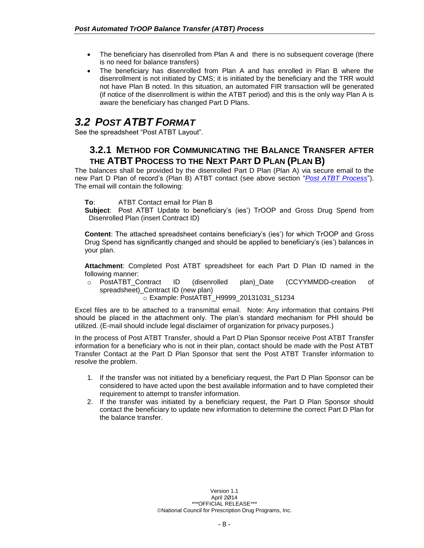- The beneficiary has disenrolled from Plan A and there is no subsequent coverage (there is no need for balance transfers)
- The beneficiary has disenrolled from Plan A and has enrolled in Plan B where the disenrollment is not initiated by CMS; it is initiated by the beneficiary and the TRR would not have Plan B noted. In this situation, an automated FIR transaction will be generated (if notice of the disenrollment is within the ATBT period) and this is the only way Plan A is aware the beneficiary has changed Part D Plans.

### <span id="page-9-0"></span>*3.2 POST ATBT FORMAT*

<span id="page-9-1"></span>See the spreadsheet "Post ATBT Layout".

#### **3.2.1 METHOD FOR COMMUNICATING THE BALANCE TRANSFER AFTER THE ATBT PROCESS TO THE NEXT PART D PLAN (PLAN B)**

The balances shall be provided by the disenrolled Part D Plan (Plan A) via secure email to the new Part D Plan of record's (Plan B) ATBT contact (see above section "*[Post ATBT Process](#page-8-0)*"). The email will contain the following:

**To**: ATBT Contact email for Plan B

**Subject**: Post ATBT Update to beneficiary's (ies') TrOOP and Gross Drug Spend from Disenrolled Plan (insert Contract ID)

**Content**: The attached spreadsheet contains beneficiary's (ies') for which TrOOP and Gross Drug Spend has significantly changed and should be applied to beneficiary's (ies') balances in your plan.

**Attachment**: Completed Post ATBT spreadsheet for each Part D Plan ID named in the following manner:

o PostATBT\_Contract ID (disenrolled plan)\_Date (CCYYMMDD-creation of spreadsheet) Contract ID (new plan)

o Example: PostATBT\_H9999\_20131031\_S1234

Excel files are to be attached to a transmittal email. Note: Any information that contains PHI should be placed in the attachment only. The plan's standard mechanism for PHI should be utilized. (E-mail should include legal disclaimer of organization for privacy purposes.)

In the process of Post ATBT Transfer, should a Part D Plan Sponsor receive Post ATBT Transfer information for a beneficiary who is not in their plan, contact should be made with the Post ATBT Transfer Contact at the Part D Plan Sponsor that sent the Post ATBT Transfer information to resolve the problem.

- 1. If the transfer was not initiated by a beneficiary request, the Part D Plan Sponsor can be considered to have acted upon the best available information and to have completed their requirement to attempt to transfer information.
- 2. If the transfer was initiated by a beneficiary request, the Part D Plan Sponsor should contact the beneficiary to update new information to determine the correct Part D Plan for the balance transfer.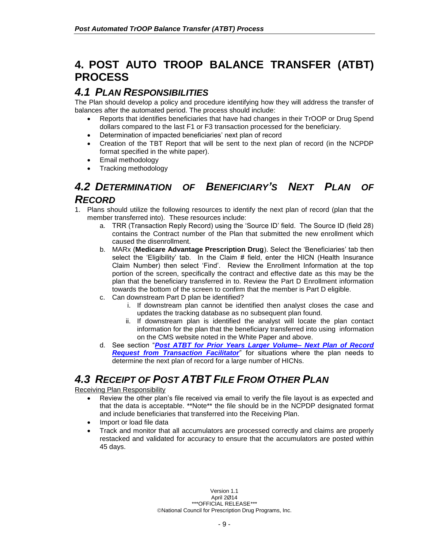# <span id="page-10-0"></span>**4. POST AUTO TROOP BALANCE TRANSFER (ATBT) PROCESS**

#### <span id="page-10-1"></span>*4.1 PLAN RESPONSIBILITIES*

The Plan should develop a policy and procedure identifying how they will address the transfer of balances after the automated period. The process should include:

- Reports that identifies beneficiaries that have had changes in their TrOOP or Drug Spend dollars compared to the last F1 or F3 transaction processed for the beneficiary.
- Determination of impacted beneficiaries' next plan of record
- Creation of the TBT Report that will be sent to the next plan of record (in the NCPDP format specified in the white paper).
- Email methodology
- Tracking methodology

#### <span id="page-10-2"></span>*4.2 DETERMINATION OF BENEFICIARY'S NEXT PLAN OF RECORD*

- 1. Plans should utilize the following resources to identify the next plan of record (plan that the member transferred into). These resources include:
	- a. TRR (Transaction Reply Record) using the 'Source ID' field. The Source ID (field 28) contains the Contract number of the Plan that submitted the new enrollment which caused the disenrollment.
	- b. MARx (**Medicare Advantage Prescription Drug**). Select the 'Beneficiaries' tab then select the 'Eligibility' tab. In the Claim  $#$  field, enter the HICN (Health Insurance Claim Number) then select 'Find'. Review the Enrollment Information at the top portion of the screen, specifically the contract and effective date as this may be the plan that the beneficiary transferred in to. Review the Part D Enrollment information towards the bottom of the screen to confirm that the member is Part D eligible.
	- c. Can downstream Part D plan be identified?
		- i. If downstream plan cannot be identified then analyst closes the case and updates the tracking database as no subsequent plan found.
		- ii. If downstream plan is identified the analyst will locate the plan contact information for the plan that the beneficiary transferred into using information on the CMS website noted in the White Paper and above.
	- d. See section "*[Post ATBT for Prior Years Larger](#page-11-0) Volume– Next Plan of Record [Request from Transaction Facilitator](#page-11-0)*" for situations where the plan needs to determine the next plan of record for a large number of HICNs.

#### <span id="page-10-3"></span>*4.3 RECEIPT OF POST ATBT FILE FROM OTHER PLAN*

#### Receiving Plan Responsibility

- Review the other plan's file received via email to verify the file layout is as expected and that the data is acceptable. \*\*Note\*\* the file should be in the NCPDP designated format and include beneficiaries that transferred into the Receiving Plan.
- Import or load file data
- Track and monitor that all accumulators are processed correctly and claims are properly restacked and validated for accuracy to ensure that the accumulators are posted within 45 days.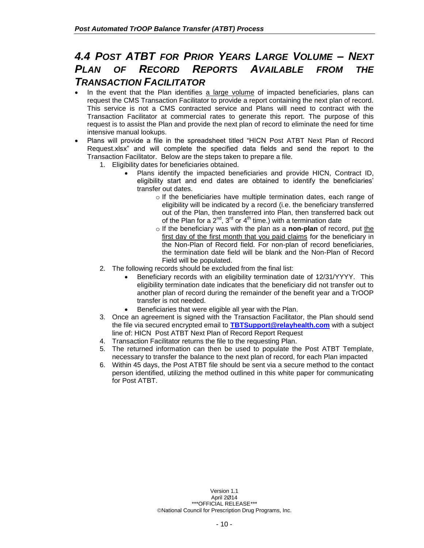### <span id="page-11-0"></span>*4.4 POST ATBT FOR PRIOR YEARS LARGE VOLUME – NEXT PLAN OF RECORD REPORTS AVAILABLE FROM THE TRANSACTION FACILITATOR*

- In the event that the Plan identifies a large volume of impacted beneficiaries, plans can request the CMS Transaction Facilitator to provide a report containing the next plan of record. This service is not a CMS contracted service and Plans will need to contract with the Transaction Facilitator at commercial rates to generate this report. The purpose of this request is to assist the Plan and provide the next plan of record to eliminate the need for time intensive manual lookups.
- Plans will provide a file in the spreadsheet titled "HICN Post ATBT Next Plan of Record Request.xlsx" and will complete the specified data fields and send the report to the Transaction Facilitator. Below are the steps taken to prepare a file.
	- 1. Eligibility dates for beneficiaries obtained.
		- Plans identify the impacted beneficiaries and provide HICN, Contract ID, eligibility start and end dates are obtained to identify the beneficiaries' transfer out dates.
			- o If the beneficiaries have multiple termination dates, each range of eligibility will be indicated by a record (i.e. the beneficiary transferred out of the Plan, then transferred into Plan, then transferred back out of the Plan for a  $2^{nd}$ ,  $3^{rd}$  or  $4^{th}$  time.) with a termination date
			- o If the beneficiary was with the plan as a **non-plan** of record, put the first day of the first month that you paid claims for the beneficiary in the Non-Plan of Record field. For non-plan of record beneficiaries, the termination date field will be blank and the Non-Plan of Record Field will be populated.
	- 2. The following records should be excluded from the final list:
		- Beneficiary records with an eligibility termination date of 12/31/YYYY. This eligibility termination date indicates that the beneficiary did not transfer out to another plan of record during the remainder of the benefit year and a TrOOP transfer is not needed.
		- Beneficiaries that were eligible all year with the Plan.
	- 3. Once an agreement is signed with the Transaction Facilitator, the Plan should send the file via secured encrypted email to **[TBTSupport@relayhealth.com](mailto:TBTSupport@relayhealth.com)** with a subject line of: HICN Post ATBT Next Plan of Record Report Request
	- 4. Transaction Facilitator returns the file to the requesting Plan.
	- 5. The returned information can then be used to populate the Post ATBT Template, necessary to transfer the balance to the next plan of record, for each Plan impacted
	- 6. Within 45 days, the Post ATBT file should be sent via a secure method to the contact person identified, utilizing the method outlined in this white paper for communicating for Post ATBT.